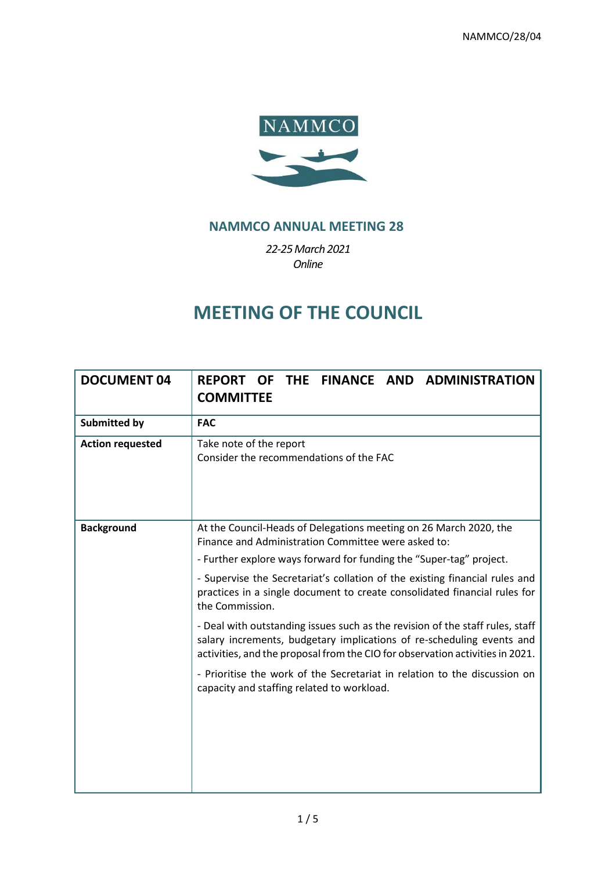

# **NAMMCO ANNUAL MEETING 28**

*22-25March 2021 Online*

# **MEETING OF THE COUNCIL**

| <b>DOCUMENT 04</b>      | FINANCE AND ADMINISTRATION<br><b>REPORT</b><br><b>THE</b><br><b>OF</b><br><b>COMMITTEE</b>                                                                                                                                              |
|-------------------------|-----------------------------------------------------------------------------------------------------------------------------------------------------------------------------------------------------------------------------------------|
| <b>Submitted by</b>     | <b>FAC</b>                                                                                                                                                                                                                              |
| <b>Action requested</b> | Take note of the report<br>Consider the recommendations of the FAC                                                                                                                                                                      |
| <b>Background</b>       | At the Council-Heads of Delegations meeting on 26 March 2020, the<br>Finance and Administration Committee were asked to:                                                                                                                |
|                         | - Further explore ways forward for funding the "Super-tag" project.                                                                                                                                                                     |
|                         | - Supervise the Secretariat's collation of the existing financial rules and<br>practices in a single document to create consolidated financial rules for<br>the Commission.                                                             |
|                         | - Deal with outstanding issues such as the revision of the staff rules, staff<br>salary increments, budgetary implications of re-scheduling events and<br>activities, and the proposal from the CIO for observation activities in 2021. |
|                         | - Prioritise the work of the Secretariat in relation to the discussion on<br>capacity and staffing related to workload.                                                                                                                 |
|                         |                                                                                                                                                                                                                                         |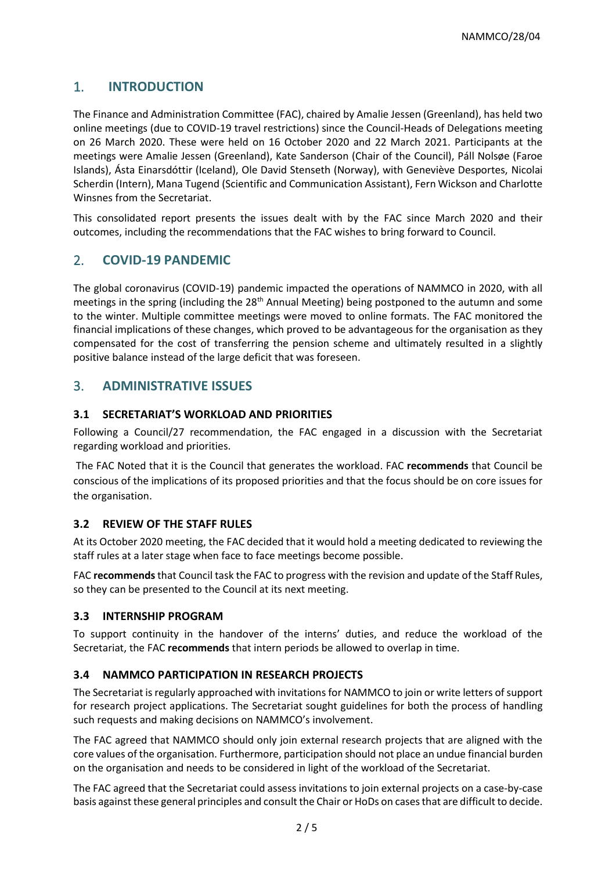# 1. **INTRODUCTION**

The Finance and Administration Committee (FAC), chaired by Amalie Jessen (Greenland), has held two online meetings (due to COVID-19 travel restrictions) since the Council-Heads of Delegations meeting on 26 March 2020. These were held on 16 October 2020 and 22 March 2021. Participants at the meetings were Amalie Jessen (Greenland), Kate Sanderson (Chair of the Council), Páll Nolsøe (Faroe Islands), Ásta Einarsdóttir (Iceland), Ole David Stenseth (Norway), with Geneviève Desportes, Nicolai Scherdin (Intern), Mana Tugend (Scientific and Communication Assistant), Fern Wickson and Charlotte Winsnes from the Secretariat.

This consolidated report presents the issues dealt with by the FAC since March 2020 and their outcomes, including the recommendations that the FAC wishes to bring forward to Council.

# 2. **COVID-19 PANDEMIC**

The global coronavirus (COVID-19) pandemic impacted the operations of NAMMCO in 2020, with all meetings in the spring (including the 28<sup>th</sup> Annual Meeting) being postponed to the autumn and some to the winter. Multiple committee meetings were moved to online formats. The FAC monitored the financial implications of these changes, which proved to be advantageous for the organisation as they compensated for the cost of transferring the pension scheme and ultimately resulted in a slightly positive balance instead of the large deficit that was foreseen.

## 3. **ADMINISTRATIVE ISSUES**

## **3.1 SECRETARIAT'S WORKLOAD AND PRIORITIES**

Following a Council/27 recommendation, the FAC engaged in a discussion with the Secretariat regarding workload and priorities.

The FAC Noted that it is the Council that generates the workload. FAC **recommends** that Council be conscious of the implications of its proposed priorities and that the focus should be on core issues for the organisation.

## **3.2 REVIEW OF THE STAFF RULES**

At its October 2020 meeting, the FAC decided that it would hold a meeting dedicated to reviewing the staff rules at a later stage when face to face meetings become possible.

FAC **recommends**that Council task the FAC to progress with the revision and update of the Staff Rules, so they can be presented to the Council at its next meeting.

## **3.3 INTERNSHIP PROGRAM**

To support continuity in the handover of the interns' duties, and reduce the workload of the Secretariat, the FAC **recommends** that intern periods be allowed to overlap in time.

## **3.4 NAMMCO PARTICIPATION IN RESEARCH PROJECTS**

The Secretariat is regularly approached with invitations for NAMMCO to join or write letters of support for research project applications. The Secretariat sought guidelines for both the process of handling such requests and making decisions on NAMMCO's involvement.

The FAC agreed that NAMMCO should only join external research projects that are aligned with the core values of the organisation. Furthermore, participation should not place an undue financial burden on the organisation and needs to be considered in light of the workload of the Secretariat.

The FAC agreed that the Secretariat could assess invitations to join external projects on a case-by-case basis against these general principles and consult the Chair or HoDs on cases that are difficult to decide.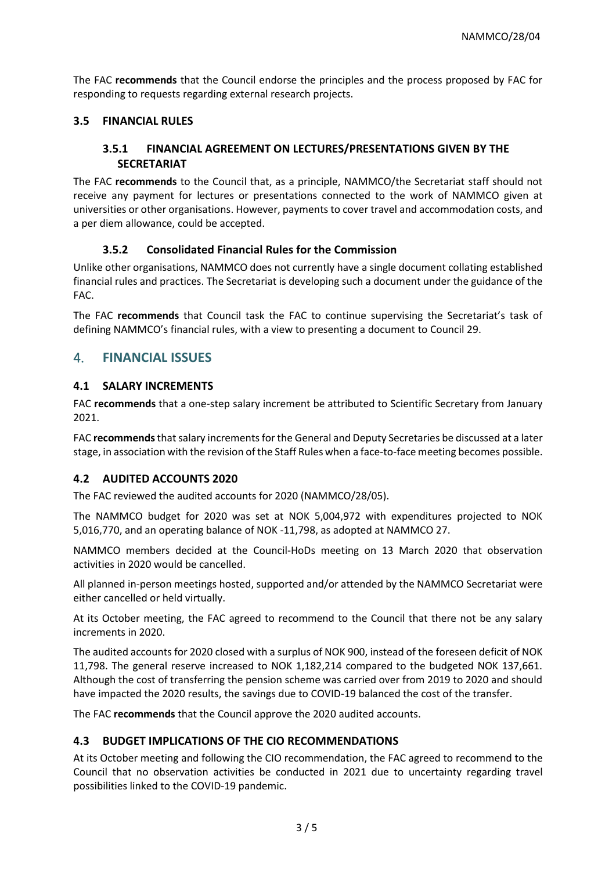The FAC **recommends** that the Council endorse the principles and the process proposed by FAC for responding to requests regarding external research projects.

## **3.5 FINANCIAL RULES**

## **3.5.1 FINANCIAL AGREEMENT ON LECTURES/PRESENTATIONS GIVEN BY THE SECRETARIAT**

The FAC **recommends** to the Council that, as a principle, NAMMCO/the Secretariat staff should not receive any payment for lectures or presentations connected to the work of NAMMCO given at universities or other organisations. However, payments to cover travel and accommodation costs, and a per diem allowance, could be accepted.

## **3.5.2 Consolidated Financial Rules for the Commission**

Unlike other organisations, NAMMCO does not currently have a single document collating established financial rules and practices. The Secretariat is developing such a document under the guidance of the FAC.

The FAC **recommends** that Council task the FAC to continue supervising the Secretariat's task of defining NAMMCO's financial rules, with a view to presenting a document to Council 29.

## 4. **FINANCIAL ISSUES**

## **4.1 SALARY INCREMENTS**

FAC **recommends** that a one-step salary increment be attributed to Scientific Secretary from January 2021.

FAC **recommends**that salary increments for the General and Deputy Secretaries be discussed at a later stage, in association with the revision of the Staff Rules when a face-to-face meeting becomes possible.

#### **4.2 AUDITED ACCOUNTS 2020**

The FAC reviewed the audited accounts for 2020 (NAMMCO/28/05).

The NAMMCO budget for 2020 was set at NOK 5,004,972 with expenditures projected to NOK 5,016,770, and an operating balance of NOK -11,798, as adopted at NAMMCO 27.

NAMMCO members decided at the Council-HoDs meeting on 13 March 2020 that observation activities in 2020 would be cancelled.

All planned in-person meetings hosted, supported and/or attended by the NAMMCO Secretariat were either cancelled or held virtually.

At its October meeting, the FAC agreed to recommend to the Council that there not be any salary increments in 2020.

The audited accounts for 2020 closed with a surplus of NOK 900, instead of the foreseen deficit of NOK 11,798. The general reserve increased to NOK 1,182,214 compared to the budgeted NOK 137,661. Although the cost of transferring the pension scheme was carried over from 2019 to 2020 and should have impacted the 2020 results, the savings due to COVID-19 balanced the cost of the transfer.

The FAC **recommends** that the Council approve the 2020 audited accounts.

#### **4.3 BUDGET IMPLICATIONS OF THE CIO RECOMMENDATIONS**

At its October meeting and following the CIO recommendation, the FAC agreed to recommend to the Council that no observation activities be conducted in 2021 due to uncertainty regarding travel possibilities linked to the COVID-19 pandemic.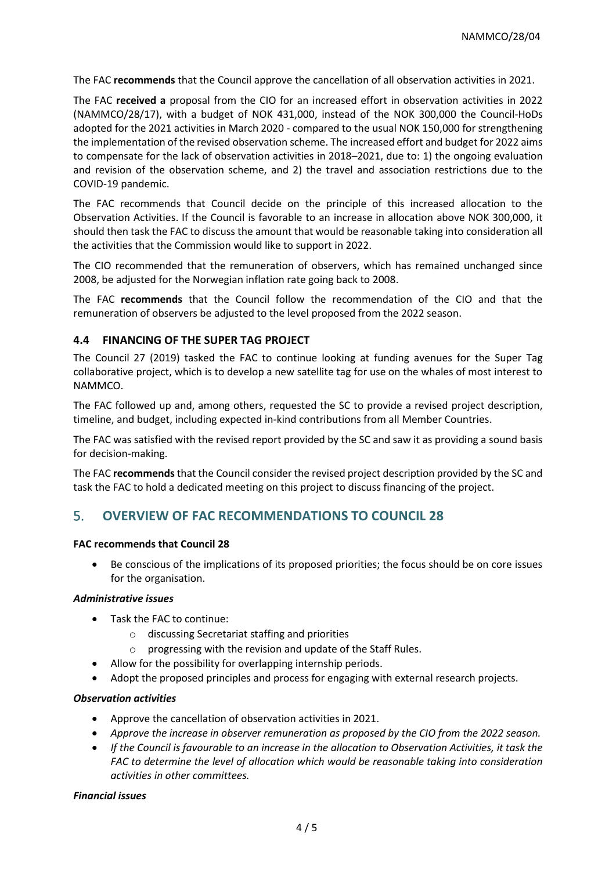The FAC **recommends** that the Council approve the cancellation of all observation activities in 2021.

The FAC **received a** proposal from the CIO for an increased effort in observation activities in 2022 (NAMMCO/28/17), with a budget of NOK 431,000, instead of the NOK 300,000 the Council-HoDs adopted for the 2021 activities in March 2020 - compared to the usual NOK 150,000 for strengthening the implementation of the revised observation scheme. The increased effort and budget for 2022 aims to compensate for the lack of observation activities in 2018–2021, due to: 1) the ongoing evaluation and revision of the observation scheme, and 2) the travel and association restrictions due to the COVID-19 pandemic.

The FAC recommends that Council decide on the principle of this increased allocation to the Observation Activities. If the Council is favorable to an increase in allocation above NOK 300,000, it should then task the FAC to discuss the amount that would be reasonable taking into consideration all the activities that the Commission would like to support in 2022.

The CIO recommended that the remuneration of observers, which has remained unchanged since 2008, be adjusted for the Norwegian inflation rate going back to 2008.

The FAC **recommends** that the Council follow the recommendation of the CIO and that the remuneration of observers be adjusted to the level proposed from the 2022 season.

## **4.4 FINANCING OF THE SUPER TAG PROJECT**

The Council 27 (2019) tasked the FAC to continue looking at funding avenues for the Super Tag collaborative project, which is to develop a new satellite tag for use on the whales of most interest to NAMMCO.

The FAC followed up and, among others, requested the SC to provide a revised project description, timeline, and budget, including expected in-kind contributions from all Member Countries.

The FAC was satisfied with the revised report provided by the SC and saw it as providing a sound basis for decision-making.

The FAC **recommends** that the Council consider the revised project description provided by the SC and task the FAC to hold a dedicated meeting on this project to discuss financing of the project.

## 5. **OVERVIEW OF FAC RECOMMENDATIONS TO COUNCIL 28**

#### **FAC recommends that Council 28**

• Be conscious of the implications of its proposed priorities; the focus should be on core issues for the organisation.

#### *Administrative issues*

- Task the FAC to continue:
	- o discussing Secretariat staffing and priorities
	- o progressing with the revision and update of the Staff Rules.
	- Allow for the possibility for overlapping internship periods.
- Adopt the proposed principles and process for engaging with external research projects.

#### *Observation activities*

- Approve the cancellation of observation activities in 2021.
- *Approve the increase in observer remuneration as proposed by the CIO from the 2022 season.*
- *If the Council is favourable to an increase in the allocation to Observation Activities, it task the FAC to determine the level of allocation which would be reasonable taking into consideration activities in other committees.*

#### *Financial issues*